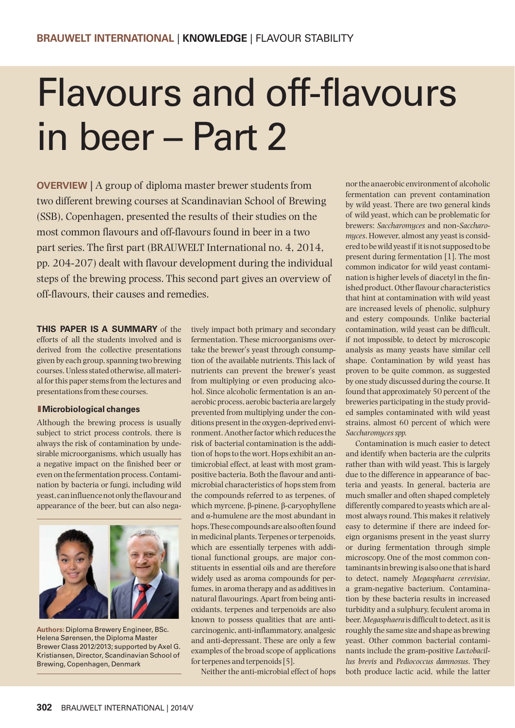# Flavours and off-flavours in beer – Part 2

**OVERVIEW** | A group of diploma master brewer students from two different brewing courses at Scandinavian School of Brewing (SSB), Copenhagen, presented the results of their studies on the most common flavours and off-flavours found in beer in a two part series. The first part (BRAUWELT International no. 4, 2014, pp. 204-207) dealt with flavour development during the individual steps of the brewing process. This second part gives an overview of off-flavours, their causes and remedies.

**THIS PAPER IS A SUMMARY** of the efforts of all the students involved and is derived from the collective presentations given by each group, spanning two brewing courses. Unless stated otherwise, all material for this paper stems from the lectures and presentations from these courses.

#### **lMicrobiological changes**

Although the brewing process is usually subject to strict process controls, there is always the risk of contamination by undesirable microorganisms, which usually has a negative impact on the finished beer or even on the fermentation process. Contamination by bacteria or fungi, including wild yeast, can influence not only the flavour and appearance of the beer, but can also nega-



**Authors:** Diploma Brewery Engineer, BSc. Helena Sørensen, the Diploma Master Brewer Class 2012/2013; supported by Axel G. Kristiansen, Director, Scandinavian School of Brewing, Copenhagen, Denmark

tively impact both primary and secondary fermentation. These microorganisms overtake the brewer's yeast through consumption of the available nutrients. This lack of nutrients can prevent the brewer's yeast from multiplying or even producing alcohol. Since alcoholic fermentation is an anaerobic process, aerobic bacteria are largely prevented from multiplying under the conditions present in the oxygen-deprived environment. Another factor which reduces the risk of bacterial contamination is the addition of hops to the wort. Hops exhibit an antimicrobial effect, at least with most grampositive bacteria. Both the flavour and antimicrobial characteristics of hops stem from the compounds referred to as terpenes, of which myrcene, β-pinene, β-caryophyllene and α-humulene are the most abundant in hops. These compounds are also often found in medicinal plants. Terpenes or terpenoids, which are essentially terpenes with additional functional groups, are major constituents in essential oils and are therefore widely used as aroma compounds for perfumes, in aroma therapy and as additives in natural flavourings. Apart from being antioxidants, terpenes and terpenoids are also known to possess qualities that are anticarcinogenic, anti-inflammatory, analgesic and anti-depressant. These are only a few examples of the broad scope of applications for terpenes and terpenoids [5].

Neither the anti-microbial effect of hops

nor the anaerobic environment of alcoholic fermentation can prevent contamination by wild yeast. There are two general kinds of wild yeast, which can be problematic for brewers: *Saccharomyces* and non-*Saccharomyces*. However, almost any yeast is considered to be wild yeast if it is not supposed to be present during fermentation [1]. The most common indicator for wild yeast contamination is higher levels of diacetyl in the finished product. Other flavour characteristics that hint at contamination with wild yeast are increased levels of phenolic, sulphury and estery compounds. Unlike bacterial contamination, wild yeast can be difficult, if not impossible, to detect by microscopic analysis as many yeasts have similar cell shape. Contamination by wild yeast has proven to be quite common, as suggested by one study discussed during the course. It found that approximately 50 percent of the breweries participating in the study provided samples contaminated with wild yeast strains, almost 60 percent of which were *Saccharomyces spp.*

Contamination is much easier to detect and identify when bacteria are the culprits rather than with wild yeast. This is largely due to the difference in appearance of bacteria and yeasts. In general, bacteria are much smaller and often shaped completely differently compared to yeasts which are almost always round. This makes it relatively easy to determine if there are indeed foreign organisms present in the yeast slurry or during fermentation through simple microscopy. One of the most common contaminants in brewing is also one that is hard to detect, namely *Megasphaera cerevisiae*, a gram-negative bacterium. Contamination by these bacteria results in increased turbidity and a sulphury, feculent aroma in beer. *Megasphaera* is difficult to detect, as it is roughly the same size and shape as brewing yeast. Other common bacterial contaminants include the gram-positive *Lactobacillus brevis* and *Pediococcus damnosus*. They both produce lactic acid, while the latter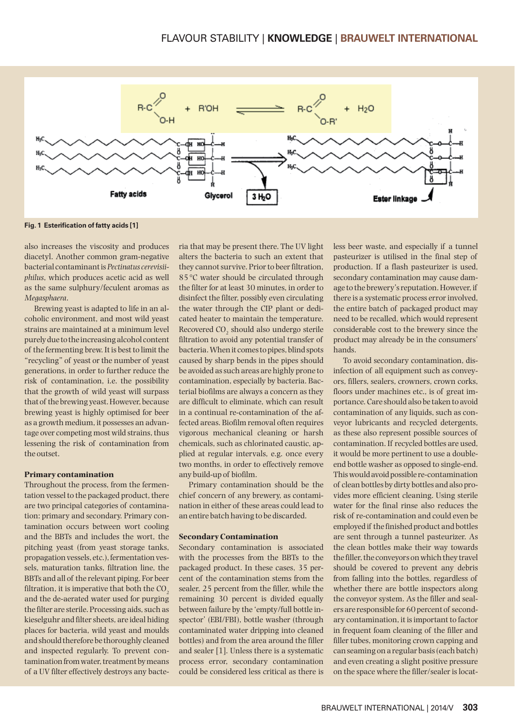

**Fig. 1 Esterification of fatty acids [1]**

also increases the viscosity and produces diacetyl. Another common gram-negative bacterial contaminant is *Pectinatus cerevisiiphilus*, which produces acetic acid as well as the same sulphury/feculent aromas as *Mega sphaera*.

Brewing yeast is adapted to life in an alcoholic environment, and most wild yeast strains are maintained at a minimum level purely due to the increasing alcohol content of the fermenting brew. It is best to limit the "recycling" of yeast or the number of yeast generations, in order to further reduce the risk of contamination, i.e. the possibility that the growth of wild yeast will surpass that of the brewing yeast. However, because brewing yeast is highly optimised for beer as a growth medium, it possesses an advantage over competing most wild strains, thus lessening the risk of contamination from the outset.

#### **Primary contamination**

Throughout the process, from the fermentation vessel to the packaged product, there are two principal categories of contamination: primary and secondary. Primary contamination occurs between wort cooling and the BBTs and includes the wort, the pitching yeast (from yeast storage tanks, propagation vessels, etc.), fermentation vessels, maturation tanks, filtration line, the BBTs and all of the relevant piping. For beer filtration, it is imperative that both the  $CO<sub>2</sub>$ and the de-aerated water used for purging the filter are sterile. Processing aids, such as kieselguhr and filter sheets, are ideal hiding places for bacteria, wild yeast and moulds and should therefore be thoroughly cleaned and inspected regularly. To prevent contamination from water, treatment by means of a UV filter effectively destroys any bacteria that may be present there. The UV light alters the bacteria to such an extent that they cannot survive. Prior to beer filtration, 85 °C water should be circulated through the filter for at least 30 minutes, in order to disinfect the filter, possibly even circulating the water through the CIP plant or dedicated heater to maintain the temperature. Recovered CO<sub>2</sub> should also undergo sterile filtration to avoid any potential transfer of bacteria. When it comes to pipes, blind spots caused by sharp bends in the pipes should be avoided as such areas are highly prone to contamination, especially by bacteria. Bacterial biofilms are always a concern as they are difficult to eliminate, which can result in a continual re-contamination of the affected areas. Biofilm removal often requires vigorous mechanical cleaning or harsh chemicals, such as chlorinated caustic, applied at regular intervals, e.g. once every two months, in order to effectively remove any build-up of biofilm.

Primary contamination should be the chief concern of any brewery, as contamination in either of these areas could lead to an entire batch having to be discarded.

#### **Secondary Contamination**

Secondary contamination is associated with the processes from the BBTs to the packaged product. In these cases, 35 percent of the contamination stems from the sealer, 25 percent from the filler, while the remaining 30 percent is divided equally between failure by the 'empty/full bottle inspector' (EBI/FBI), bottle washer (through contaminated water dripping into cleaned bottles) and from the area around the filler and sealer [1]. Unless there is a systematic process error, secondary contamination could be considered less critical as there is less beer waste, and especially if a tunnel pasteurizer is utilised in the final step of production. If a flash pasteurizer is used, secondary contamination may cause damage to the brewery's reputation. However, if there is a systematic process error involved, the entire batch of packaged product may need to be recalled, which would represent considerable cost to the brewery since the product may already be in the consumers' hands.

To avoid secondary contamination, disinfection of all equipment such as conveyors, fillers, sealers, crowners, crown corks, floors under machines etc., is of great importance. Care should also be taken to avoid contamination of any liquids, such as conveyor lubricants and recycled detergents, as these also represent possible sources of contamination. If recycled bottles are used, it would be more pertinent to use a doubleend bottle washer as opposed to single-end. This would avoid possible re-contamination of clean bottles by dirty bottles and also provides more efficient cleaning. Using sterile water for the final rinse also reduces the risk of re-contamination and could even be employed if the finished product and bottles are sent through a tunnel pasteurizer. As the clean bottles make their way towards the filler, the conveyors on which they travel should be covered to prevent any debris from falling into the bottles, regardless of whether there are bottle inspectors along the conveyor system. As the filler and sealers are responsible for 60 percent of secondary contamination, it is important to factor in frequent foam cleaning of the filler and filler tubes, monitoring crown capping and can seaming on a regular basis (each batch) and even creating a slight positive pressure on the space where the filler/sealer is locat-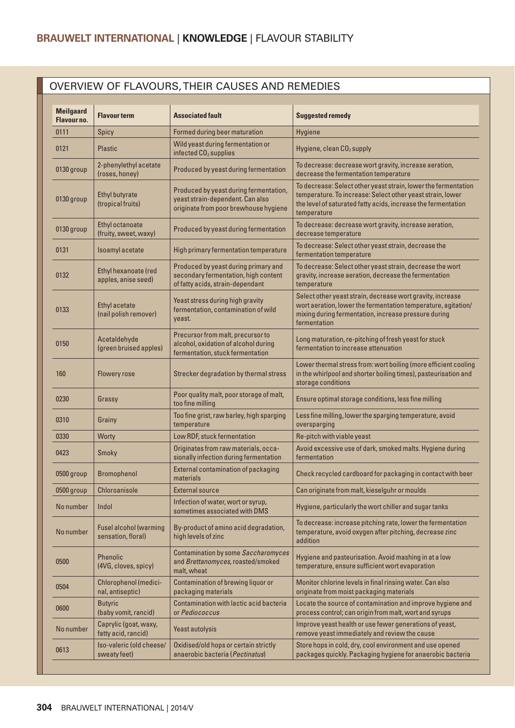## OVERVIEW OF FLAVOURS, THEIR CAUSES AND REMEDIES

| <b>Meilgaard</b><br>Flavour no. | <b>Flavour term</b>                                 | <b>Associated fault</b>                                                                                             | <b>Suggested remedy</b>                                                                                                                                                                                      |
|---------------------------------|-----------------------------------------------------|---------------------------------------------------------------------------------------------------------------------|--------------------------------------------------------------------------------------------------------------------------------------------------------------------------------------------------------------|
| 0111                            | Spicy                                               | <b>Formed during beer maturation</b>                                                                                | Hygiene                                                                                                                                                                                                      |
| 0121                            | <b>Plastic</b>                                      | Wild yeast during fermentation or<br>infected CO <sub>2</sub> supplies                                              | Hygiene, clean CO <sub>2</sub> supply                                                                                                                                                                        |
| 0130 group                      | 2-phenylethyl acetate<br>(roses, honey)             | Produced by yeast during fermentation                                                                               | To decrease: decrease wort gravity, increase aeration,<br>decrease the fermentation temperature                                                                                                              |
| 0130 group                      | <b>Ethyl butyrate</b><br>(tropical fruits)          | Produced by yeast during fermentation,<br>yeast strain-dependent. Can also<br>originate from poor brewhouse hygiene | To decrease: Select other yeast strain, lower the fermentation<br>temperature. To increase: Select other yeast strain, lower<br>the level of saturated fatty acids, increase the fermentation<br>temperature |
| 0130 group                      | Ethyl octanoate<br>(fruity, sweet, waxy)            | Produced by yeast during fermentation                                                                               | To decrease: decrease wort gravity, increase aeration,<br>decrease temperature                                                                                                                               |
| 0131                            | Isoamyl acetate                                     | High primary fermentation temperature                                                                               | To decrease: Select other yeast strain, decrease the<br>fermentation temperature                                                                                                                             |
| 0132                            | Ethyl hexanoate (red<br>apples, anise seed)         | Produced by yeast during primary and<br>secondary fermentation, high content<br>of fatty acids, strain-dependant    | To decrease: Select other yeast strain, decrease the wort<br>gravity, increase aeration, decrease the fermentation<br>temperature                                                                            |
| 0133                            | <b>Ethyl acetate</b><br>(nail polish remover)       | Yeast stress during high gravity<br>fermentation, contamination of wild<br>yeast.                                   | Select other yeast strain, decrease wort gravity, increase<br>wort aeration, lower the fermentation temperature, agitation/<br>mixing during fermentation, increase pressure during<br>fermentation          |
| 0150                            | Acetaldehyde<br>(green bruised apples)              | Precursor from malt, precursor to<br>alcohol, oxidation of alcohol during<br>fermentation, stuck fermentation       | Long maturation, re-pitching of fresh yeast for stuck<br>fermentation to increase attenuation                                                                                                                |
| 160                             | <b>Flowery rose</b>                                 | Strecker degradation by thermal stress                                                                              | Lower thermal stress from: wort boiling (more efficient cooling<br>in the whirlpool and shorter boiling times), pasteurisation and<br>storage conditions                                                     |
| 0230                            | Grassy                                              | Poor quality malt, poor storage of malt,<br>too fine milling                                                        | Ensure optimal storage conditions, less fine milling                                                                                                                                                         |
| 0310                            | Grainy                                              | Too fine grist, raw barley, high sparging<br>temperature                                                            | Less fine milling, lower the sparging temperature, avoid<br>oversparging                                                                                                                                     |
| 0330                            | Worty                                               | Low RDF, stuck fermentation                                                                                         | Re-pitch with viable yeast                                                                                                                                                                                   |
| 0423                            | Smoky                                               | Originates from raw materials, occa-<br>sionally infection during fermentation                                      | Avoid excessive use of dark, smoked malts. Hygiene during<br>fermentation                                                                                                                                    |
| 0500 group                      | <b>Bromophenol</b>                                  | External contamination of packaging<br>materials                                                                    | Check recycled cardboard for packaging in contact with beer                                                                                                                                                  |
| 0500 group                      | Chloroanisole                                       | <b>External source</b>                                                                                              | Can originate from malt, kieselguhr or moulds                                                                                                                                                                |
| No number                       | Indol                                               | Infection of water, wort or syrup,<br>sometimes associated with DMS                                                 | Hygiene, particularly the wort chiller and sugar tanks                                                                                                                                                       |
| No number                       | <b>Fusel alcohol (warming</b><br>sensation, floral) | By-product of amino acid degradation,<br>high levels of zinc                                                        | To decrease: increase pitching rate, lower the fermentation<br>temperature, avoid oxygen after pitching, decrease zinc<br>addition                                                                           |
| 0500                            | <b>Phenolic</b><br>(4VG, cloves, spicy)             | Contamination by some Saccharomyces<br>and Brettanomyces, roasted/smoked<br>malt, wheat                             | Hygiene and pasteurisation. Avoid mashing in at a low<br>temperature, ensure sufficient wort evaporation                                                                                                     |
| 0504                            | <b>Chlorophenol (medici-</b><br>nal, antiseptic)    | Contamination of brewing liquor or<br>packaging materials                                                           | Monitor chlorine levels in final rinsing water. Can also<br>originate from moist packaging materials                                                                                                         |
| 0600                            | <b>Butyric</b><br>(baby vomit, rancid)              | Contamination with lactic acid bacteria<br>or Pediococcus                                                           | Locate the source of contamination and improve hygiene and<br>process control; can origin from malt, wort and syrups                                                                                         |
| No number                       | Caprylic (goat, waxy,<br>fatty acid, rancid)        | Yeast autolysis                                                                                                     | Improve yeast health or use fewer generations of yeast,<br>remove yeast immediately and review the cause                                                                                                     |
| 0613                            | Iso-valeric (old cheese/<br>sweaty feet)            | Oxidised/old hops or certain strictly<br>anaerobic bacteria (Pectinatus)                                            | Store hops in cold, dry, cool environment and use opened<br>packages quickly. Packaging hygiene for anaerobic bacteria                                                                                       |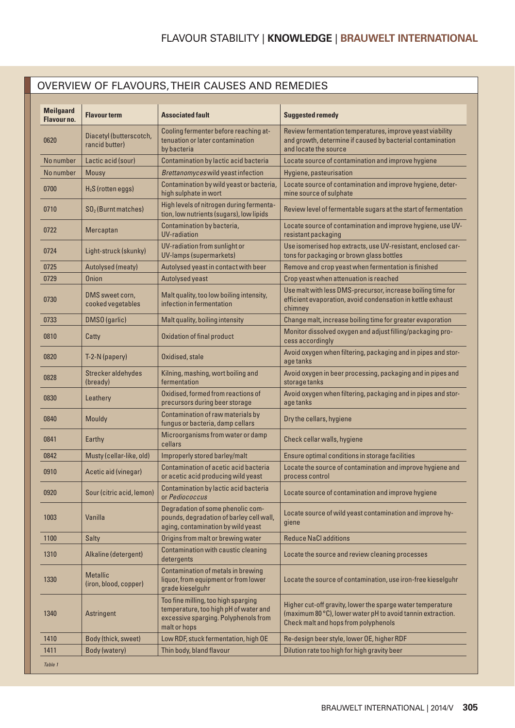## OVERVIEW OF FLAVOURS, THEIR CAUSES AND REMEDIES

| <b>Meilgaard</b><br>Flavour no. | <b>Flavour term</b>                       | <b>Associated fault</b>                                                                                                              | <b>Suggested remedy</b>                                                                                                                                           |
|---------------------------------|-------------------------------------------|--------------------------------------------------------------------------------------------------------------------------------------|-------------------------------------------------------------------------------------------------------------------------------------------------------------------|
| 0620                            | Diacetyl (butterscotch,<br>rancid butter) | Cooling fermenter before reaching at-<br>tenuation or later contamination<br>by bacteria                                             | Review fermentation temperatures, improve yeast viability<br>and growth, determine if caused by bacterial contamination<br>and locate the source                  |
| No number                       | Lactic acid (sour)                        | Contamination by lactic acid bacteria                                                                                                | Locate source of contamination and improve hygiene                                                                                                                |
| No number                       | Mousy                                     | Brettanomyces wild yeast infection                                                                                                   | Hygiene, pasteurisation                                                                                                                                           |
| 0700                            | $H2S$ (rotten eggs)                       | Contamination by wild yeast or bacteria,<br>high sulphate in wort                                                                    | Locate source of contamination and improve hygiene, deter-<br>mine source of sulphate                                                                             |
| 0710                            | $SO2$ (Burnt matches)                     | High levels of nitrogen during fermenta-<br>tion, low nutrients (sugars), low lipids                                                 | Review level of fermentable sugars at the start of fermentation                                                                                                   |
| 0722                            | Mercaptan                                 | Contamination by bacteria,<br><b>UV-radiation</b>                                                                                    | Locate source of contamination and improve hygiene, use UV-<br>resistant packaging                                                                                |
| 0724                            | Light-struck (skunky)                     | UV-radiation from sunlight or<br>UV-lamps (supermarkets)                                                                             | Use isomerised hop extracts, use UV-resistant, enclosed car-<br>tons for packaging or brown glass bottles                                                         |
| 0725                            | Autolysed (meaty)                         | Autolysed yeast in contact with beer                                                                                                 | Remove and crop yeast when fermentation is finished                                                                                                               |
| 0729                            | Onion                                     | Autolysed yeast                                                                                                                      | Crop yeast when attenuation is reached                                                                                                                            |
| 0730                            | DMS sweet corn,<br>cooked vegetables      | Malt quality, too low boiling intensity,<br>infection in fermentation                                                                | Use malt with less DMS-precursor, increase boiling time for<br>efficient evaporation, avoid condensation in kettle exhaust<br>chimney                             |
| 0733                            | DMSO (garlic)                             | Malt quality, boiling intensity                                                                                                      | Change malt, increase boiling time for greater evaporation                                                                                                        |
| 0810                            | Catty                                     | Oxidation of final product                                                                                                           | Monitor dissolved oxygen and adjust filling/packaging pro-<br>cess accordingly                                                                                    |
| 0820                            | T-2-N (papery)                            | Oxidised, stale                                                                                                                      | Avoid oxygen when filtering, packaging and in pipes and stor-<br>age tanks                                                                                        |
| 0828                            | Strecker aldehydes<br>(bready)            | Kilning, mashing, wort boiling and<br>fermentation                                                                                   | Avoid oxygen in beer processing, packaging and in pipes and<br>storage tanks                                                                                      |
| 0830                            | Leathery                                  | Oxidised, formed from reactions of<br>precursors during beer storage                                                                 | Avoid oxygen when filtering, packaging and in pipes and stor-<br>age tanks                                                                                        |
| 0840                            | Mouldy                                    | Contamination of raw materials by<br>fungus or bacteria, damp cellars                                                                | Dry the cellars, hygiene                                                                                                                                          |
| 0841                            | Earthy                                    | Microorganisms from water or damp<br>cellars                                                                                         | Check cellar walls, hygiene                                                                                                                                       |
| 0842                            | Musty (cellar-like, old)                  | Improperly stored barley/malt                                                                                                        | Ensure optimal conditions in storage facilities                                                                                                                   |
| 0910                            | Acetic aid (vinegar)                      | Contamination of acetic acid bacteria<br>or acetic acid producing wild yeast                                                         | Locate the source of contamination and improve hygiene and<br>process control                                                                                     |
| 0920                            | Sour (citric acid, lemon)                 | Contamination by lactic acid bacteria<br>or Pediococcus                                                                              | Locate source of contamination and improve hygiene                                                                                                                |
| 1003                            | Vanilla                                   | Degradation of some phenolic com-<br>pounds, degradation of barley cell wall,<br>aging, contamination by wild yeast                  | Locate source of wild yeast contamination and improve hy-<br>giene                                                                                                |
| 1100                            | <b>Salty</b>                              | Origins from malt or brewing water                                                                                                   | <b>Reduce NaCl additions</b>                                                                                                                                      |
| 1310                            | Alkaline (detergent)                      | Contamination with caustic cleaning<br>detergents                                                                                    | Locate the source and review cleaning processes                                                                                                                   |
| 1330                            | <b>Metallic</b><br>(iron, blood, copper)  | Contamination of metals in brewing<br>liquor, from equipment or from lower<br>grade kieselguhr                                       | Locate the source of contamination, use iron-free kieselguhr                                                                                                      |
| 1340                            | Astringent                                | Too fine milling, too high sparging<br>temperature, too high pH of water and<br>excessive sparging. Polyphenols from<br>malt or hops | Higher cut-off gravity, lower the sparge water temperature<br>(maximum 80 °C), lower water pH to avoid tannin extraction.<br>Check malt and hops from polyphenols |
| 1410                            | Body (thick, sweet)                       | Low RDF, stuck fermentation, high OE                                                                                                 | Re-design beer style, lower OE, higher RDF                                                                                                                        |
| 1411                            | Body (watery)                             | Thin body, bland flavour                                                                                                             | Dilution rate too high for high gravity beer                                                                                                                      |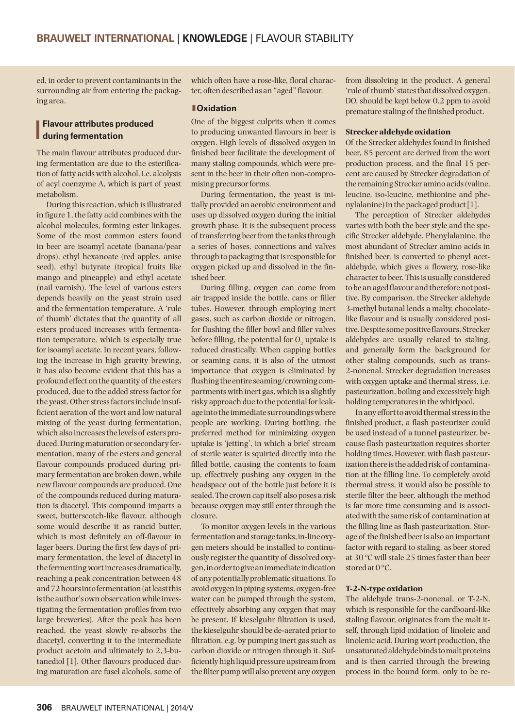ed, in order to prevent contaminants in the surrounding air from entering the packaging area.

# **Flavour attributes produced<br>
during fermentation during fermentation**

The main flavour attributes produced during fermentation are due to the esterification of fatty acids with alcohol, i.e. alcolysis of acyl coenzyme A, which is part of yeast metabolism.

During this reaction, which is illustrated in figure 1, the fatty acid combines with the alcohol molecules, forming ester linkages. Some of the most common esters found in beer are isoamyl acetate (banana/pear drops), ethyl hexanoate (red apples, anise seed), ethyl butyrate (tropical fruits like mango and pineapple) and ethyl acetate (nail varnish). The level of various esters depends heavily on the yeast strain used and the fermentation temperature. A 'rule of thumb' dictates that the quantity of all esters produced increases with fermentation temperature, which is especially true for isoamyl acetate. In recent years, following the increase in high gravity brewing, it has also become evident that this has a profound effect on the quantity of the esters produced, due to the added stress factor for the yeast. Other stress factors include insufficient aeration of the wort and low natural mixing of the yeast during fermentation, which also increases the levels of esters produced. During maturation or secondary fermentation, many of the esters and general flavour compounds produced during primary fermentation are broken down, while new flavour compounds are produced. One of the compounds reduced during maturation is diacetyl. This compound imparts a sweet, butterscotch-like flavour, although some would describe it as rancid butter, which is most definitely an off-flavour in lager beers. During the first few days of primary fermentation, the level of diacetyl in the fermenting wort increases dramatically, reaching a peak concentration between 48 and 72 hours into fermentation (at least this is the author's own observation while investigating the fermentation profiles from two large breweries). After the peak has been reached, the yeast slowly re-absorbs the diacetyl, converting it to the intermediate product acetoin and ultimately to 2,3-butanediol [1]. Other flavours produced during maturation are fusel alcohols, some of

which often have a rose-like, floral character, often described as an "aged" flavour.

#### **lOxidation**

One of the biggest culprits when it comes to producing unwanted flavours in beer is oxygen. High levels of dissolved oxygen in finished beer facilitate the development of many staling compounds, which were present in the beer in their often non-compromising precursor forms.

During fermentation, the yeast is initially provided an aerobic environment and uses up dissolved oxygen during the initial growth phase. It is the subsequent process of transferring beer from the tanks through a series of hoses, connections and valves through to packaging that is responsible for oxygen picked up and dissolved in the finished beer.

During filling, oxygen can come from air trapped inside the bottle, cans or filler tubes. However, through employing inert gases, such as carbon dioxide or nitrogen, for flushing the filler bowl and filler valves before filling, the potential for  $O<sub>s</sub>$  uptake is reduced drastically. When capping bottles or seaming cans, it is also of the utmost importance that oxygen is eliminated by flushing the entire seaming/crowning compartments with inert gas, which is a slightly risky approach due to the potential for leakage into the immediate surroundings where people are working. During bottling, the preferred method for minimizing oxygen uptake is 'jetting', in which a brief stream of sterile water is squirted directly into the filled bottle, causing the contents to foam up, effectively pushing any oxygen in the headspace out of the bottle just before it is sealed. The crown cap itself also poses a risk because oxygen may still enter through the closure.

To monitor oxygen levels in the various fermentation and storage tanks, in-line oxygen meters should be installed to continuously register the quantity of dissolved oxygen, in order to give an immediate indication of any potentially problematic situations. To avoid oxygen in piping systems, oxygen-free water can be pumped through the system, effectively absorbing any oxygen that may be present. If kieselguhr filtration is used, the kieselguhr should be de-aerated prior to filtration, e.g. by pumping inert gas such as carbon dioxide or nitrogen through it. Sufficiently high liquid pressure upstream from the filter pump will also prevent any oxygen

from dissolving in the product. A general 'rule of thumb' states that dissolved oxygen, DO, should be kept below 0.2 ppm to avoid premature staling of the finished product.

#### **Strecker aldehyde oxidation**

Of the Strecker aldehydes found in finished beer, 85 percent are derived from the wort production process, and the final 15 percent are caused by Strecker degradation of the remaining Strecker amino acids (valine, leucine, iso-leucine, methionine and phenylalanine) in the packaged product [1].

The perception of Strecker aldehydes varies with both the beer style and the specific Strecker aldehyde. Phenylalanine, the most abundant of Strecker amino acids in finished beer, is converted to phenyl acetaldehyde, which gives a flowery, rose-like character to beer. This is usually considered to be an aged flavour and therefore not positive. By comparison, the Strecker aldehyde 3-methyl butanal lends a malty, chocolatelike flavour and is usually considered positive. Despite some positive flavours, Strecker aldehydes are usually related to staling, and generally form the background for other staling compounds, such as trans-2-nonenal. Strecker degradation increases with oxygen uptake and thermal stress, i.e. pasteurization, boiling and excessively high holding temperatures in the whirlpool.

In any effort to avoid thermal stress in the finished product, a flash pasteurizer could be used instead of a tunnel pasteurizer, because flash pasteurization requires shorter holding times. However, with flash pasteurization there is the added risk of contamination at the filling line. To completely avoid thermal stress, it would also be possible to sterile filter the beer, although the method is far more time consuming and is associated with the same risk of contamination at the filling line as flash pasteurization. Storage of the finished beer is also an important factor with regard to staling, as beer stored at 30 °C will stale 25 times faster than beer stored at  $0^{\circ}$ C.

#### **T-2-N-type oxidation**

The aldehyde trans-2-nonenal, or T-2-N, which is responsible for the cardboard-like staling flavour, originates from the malt itself, through lipid oxidation of linoleic and linolenic acid. During wort production, the unsaturated aldehyde binds to malt proteins and is then carried through the brewing process in the bound form, only to be re